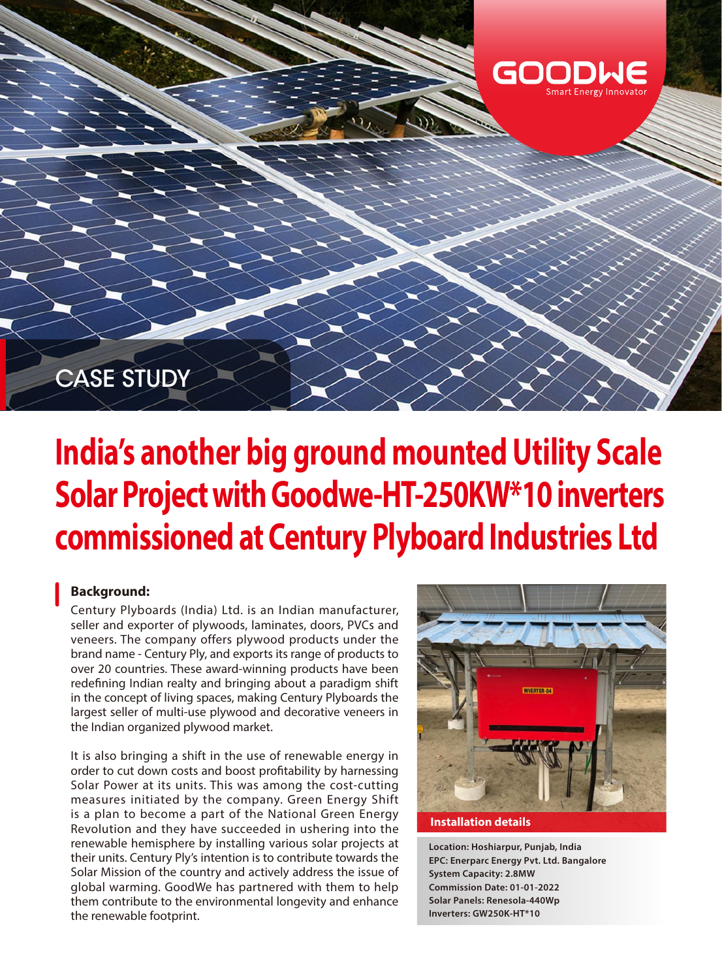

# **India's another big ground mounted Utility Scale Solar Project with Goodwe-HT-250KW\*10 inverters commissioned at Century Plyboard Industries Ltd**

## **Background:**

Century Plyboards (India) Ltd. is an Indian manufacturer, seller and exporter of plywoods, laminates, doors, PVCs and veneers. The company offers plywood products under the brand name - Century Ply, and exports its range of products to over 20 countries. These award-winning products have been redefining Indian realty and bringing about a paradigm shift in the concept of living spaces, making Century Plyboards the largest seller of multi-use plywood and decorative veneers in the Indian organized plywood market.

It is also bringing a shift in the use of renewable energy in order to cut down costs and boost profitability by harnessing Solar Power at its units. This was among the cost-cutting measures initiated by the company. Green Energy Shift is a plan to become a part of the National Green Energy Revolution and they have succeeded in ushering into the renewable hemisphere by installing various solar projects at their units. Century Ply's intention is to contribute towards the Solar Mission of the country and actively address the issue of global warming. GoodWe has partnered with them to help them contribute to the environmental longevity and enhance the renewable footprint.



#### **Installation details**

**Location: Hoshiarpur, Punjab, India EPC: Enerparc Energy Pvt. Ltd. Bangalore System Capacity: 2.8MW Commission Date: 01-01-2022 Solar Panels: Renesola-440Wp Inverters: GW250K-HT\*10**